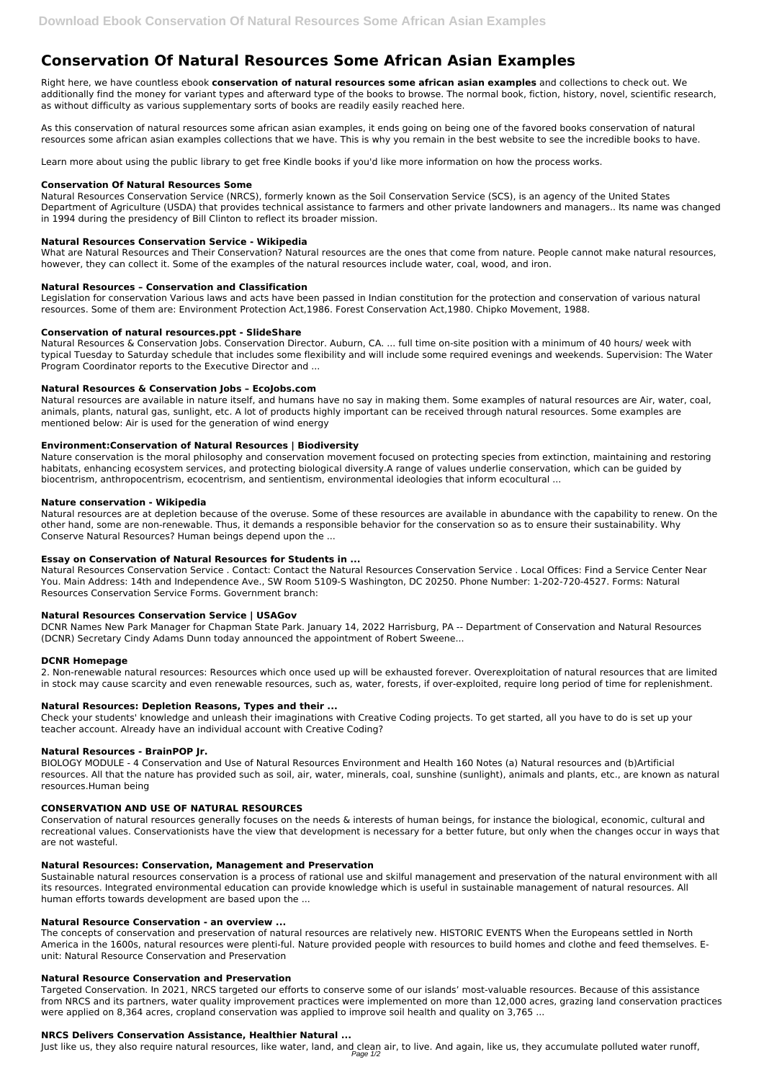# **Conservation Of Natural Resources Some African Asian Examples**

Right here, we have countless ebook **conservation of natural resources some african asian examples** and collections to check out. We additionally find the money for variant types and afterward type of the books to browse. The normal book, fiction, history, novel, scientific research, as without difficulty as various supplementary sorts of books are readily easily reached here.

As this conservation of natural resources some african asian examples, it ends going on being one of the favored books conservation of natural resources some african asian examples collections that we have. This is why you remain in the best website to see the incredible books to have.

Learn more about using the public library to get free Kindle books if you'd like more information on how the process works.

# **Conservation Of Natural Resources Some**

Natural Resources Conservation Service (NRCS), formerly known as the Soil Conservation Service (SCS), is an agency of the United States Department of Agriculture (USDA) that provides technical assistance to farmers and other private landowners and managers.. Its name was changed in 1994 during the presidency of Bill Clinton to reflect its broader mission.

# **Natural Resources Conservation Service - Wikipedia**

What are Natural Resources and Their Conservation? Natural resources are the ones that come from nature. People cannot make natural resources, however, they can collect it. Some of the examples of the natural resources include water, coal, wood, and iron.

# **Natural Resources – Conservation and Classification**

Legislation for conservation Various laws and acts have been passed in Indian constitution for the protection and conservation of various natural resources. Some of them are: Environment Protection Act,1986. Forest Conservation Act,1980. Chipko Movement, 1988.

# **Conservation of natural resources.ppt - SlideShare**

Natural Resources & Conservation Jobs. Conservation Director. Auburn, CA. ... full time on-site position with a minimum of 40 hours/ week with typical Tuesday to Saturday schedule that includes some flexibility and will include some required evenings and weekends. Supervision: The Water Program Coordinator reports to the Executive Director and ...

# **Natural Resources & Conservation Jobs – EcoJobs.com**

Natural resources are available in nature itself, and humans have no say in making them. Some examples of natural resources are Air, water, coal, animals, plants, natural gas, sunlight, etc. A lot of products highly important can be received through natural resources. Some examples are mentioned below: Air is used for the generation of wind energy

## **Environment:Conservation of Natural Resources | Biodiversity**

Nature conservation is the moral philosophy and conservation movement focused on protecting species from extinction, maintaining and restoring habitats, enhancing ecosystem services, and protecting biological diversity.A range of values underlie conservation, which can be guided by biocentrism, anthropocentrism, ecocentrism, and sentientism, environmental ideologies that inform ecocultural ...

## **Nature conservation - Wikipedia**

Natural resources are at depletion because of the overuse. Some of these resources are available in abundance with the capability to renew. On the other hand, some are non-renewable. Thus, it demands a responsible behavior for the conservation so as to ensure their sustainability. Why Conserve Natural Resources? Human beings depend upon the ...

# **Essay on Conservation of Natural Resources for Students in ...**

Natural Resources Conservation Service . Contact: Contact the Natural Resources Conservation Service . Local Offices: Find a Service Center Near You. Main Address: 14th and Independence Ave., SW Room 5109-S Washington, DC 20250. Phone Number: 1-202-720-4527. Forms: Natural Resources Conservation Service Forms. Government branch:

## **Natural Resources Conservation Service | USAGov**

DCNR Names New Park Manager for Chapman State Park. January 14, 2022 Harrisburg, PA -- Department of Conservation and Natural Resources (DCNR) Secretary Cindy Adams Dunn today announced the appointment of Robert Sweene...

## **DCNR Homepage**

2. Non-renewable natural resources: Resources which once used up will be exhausted forever. Overexploitation of natural resources that are limited in stock may cause scarcity and even renewable resources, such as, water, forests, if over-exploited, require long period of time for replenishment.

## **Natural Resources: Depletion Reasons, Types and their ...**

Check your students' knowledge and unleash their imaginations with Creative Coding projects. To get started, all you have to do is set up your teacher account. Already have an individual account with Creative Coding?

## **Natural Resources - BrainPOP Jr.**

BIOLOGY MODULE - 4 Conservation and Use of Natural Resources Environment and Health 160 Notes (a) Natural resources and (b)Artificial resources. All that the nature has provided such as soil, air, water, minerals, coal, sunshine (sunlight), animals and plants, etc., are known as natural resources.Human being

## **CONSERVATION AND USE OF NATURAL RESOURCES**

Conservation of natural resources generally focuses on the needs & interests of human beings, for instance the biological, economic, cultural and recreational values. Conservationists have the view that development is necessary for a better future, but only when the changes occur in ways that are not wasteful.

#### **Natural Resources: Conservation, Management and Preservation**

Sustainable natural resources conservation is a process of rational use and skilful management and preservation of the natural environment with all its resources. Integrated environmental education can provide knowledge which is useful in sustainable management of natural resources. All human efforts towards development are based upon the ...

#### **Natural Resource Conservation - an overview ...**

The concepts of conservation and preservation of natural resources are relatively new. HISTORIC EVENTS When the Europeans settled in North America in the 1600s, natural resources were plenti-ful. Nature provided people with resources to build homes and clothe and feed themselves. Eunit: Natural Resource Conservation and Preservation

#### **Natural Resource Conservation and Preservation**

Targeted Conservation. In 2021, NRCS targeted our efforts to conserve some of our islands' most-valuable resources. Because of this assistance from NRCS and its partners, water quality improvement practices were implemented on more than 12,000 acres, grazing land conservation practices were applied on 8,364 acres, cropland conservation was applied to improve soil health and quality on 3,765 ...

#### **NRCS Delivers Conservation Assistance, Healthier Natural ...**

Just like us, they also require natural resources, like water, land, and clean air, to live. And again, like us, they accumulate polluted water runoff, Page 1/2